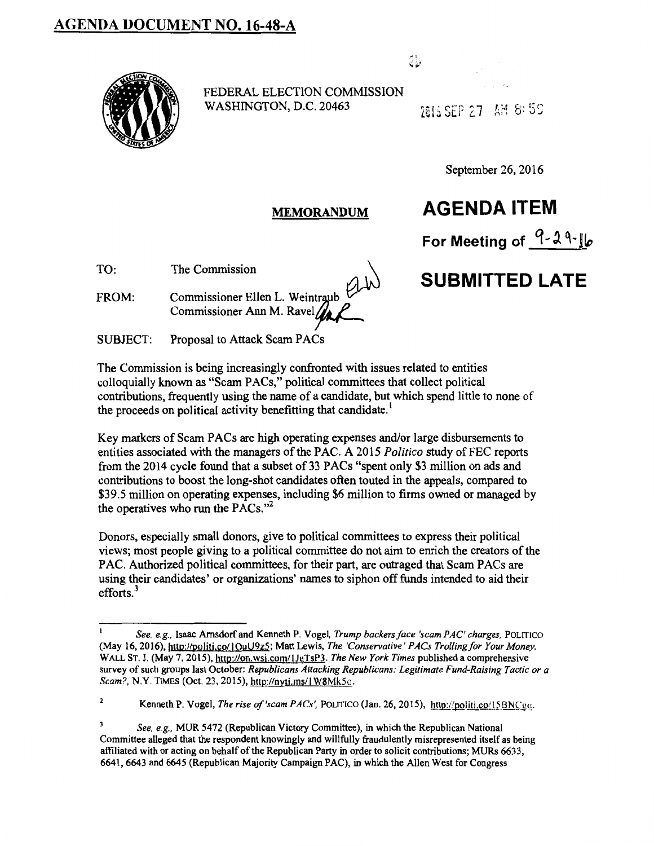## AGENDA DOCUMENT NO. 16-48-A



FEDERAL ELECTION COMMISSION WASHINGTON, D.C. 20463

7815.SEP 27 AIH 8:59

J)

September 26, 2016

#### MEMORANDUM

**AGENDA ITEM** 

**For Meeting of q** ~ l q\_ jlo

# **SUBMITTED LATE**

TO: The Commission

FROM: Commissioner Ellen L. Weintraub Commissioner Ann M. Ravel~

SUBJECT: Proposal to Attack Scam PACs

The Commission is being increasingly confronted with issues related to entities colloquially known as "Scam PACs," political committees that collect political contributions, frequently using the name of a candidate, but which spend little to none of the proceeds on political activity benefitting that candidate.<sup>1</sup>

Key markers of Scam PACs are high operating expenses and/or large disbursements to entities associated with the managers of the PAC. A 2015 *Politico* study of FEC reports from the 2014 cycle found that a subset of33 PACs "spent only \$3 million on ads and contributions to boost the long-shot candidates often touted in the appeals, compared to \$39.5 million on operating expenses, including \$6 million to firms owned or managed by the operatives who run the PACs."<sup>2</sup>

Donors, especially small donors, give to political committees to express their political views; most people giving to a political committee do not aim to enrich the creators of the PAC. Authorized political committees, for their part, are outraged that Scam PACs are using their candidates' or organizations' names to siphon off funds intended to aid their efforts.<sup>3</sup>

*See, e.g.,* Isaac Amsdorfand Kenneth P. Vogel, *Trump backers face 'scam PAC' charges,* POLITICO (May 16, 20 16), http:J/politi.co/ I OuU9z5; Matt Lewis, *The 'Conservative' PACs Trolling for Your Money,*  WALL ST. J. (May 7, 2015), http://on.wsj.com/IJuTsP3. *The New York Times* published a comprehensive survey of such groups last October: *Republicans Attacking Republicans: Legitimate Fund-Raising Tactic or a Scam?, N.Y. TIMES (Oct. 23, 2015), http://nyti.ms/1 W8Mk5o.* 

<sup>&</sup>lt;sup>2</sup> Kenneth P. Vogel, *The rise of 'scam PACs'*, POLITICO (Jan. 26, 2015), http://politi.co/15BNCgq.

 $\overline{\mathbf{3}}$ *See, e.g.,* MUR 5472 (Republican Victory Committee), in which the Republican National Committee alleged that the respondent knowingly and willfully fraudulently misrepresented itself as being affiliated with or acting on behalf of the Republican Party in order to solicit contributions; MURs 6633, 6641,6643 and 6645 (Republican Majority Campaign PAC), in which the Allen West for Congress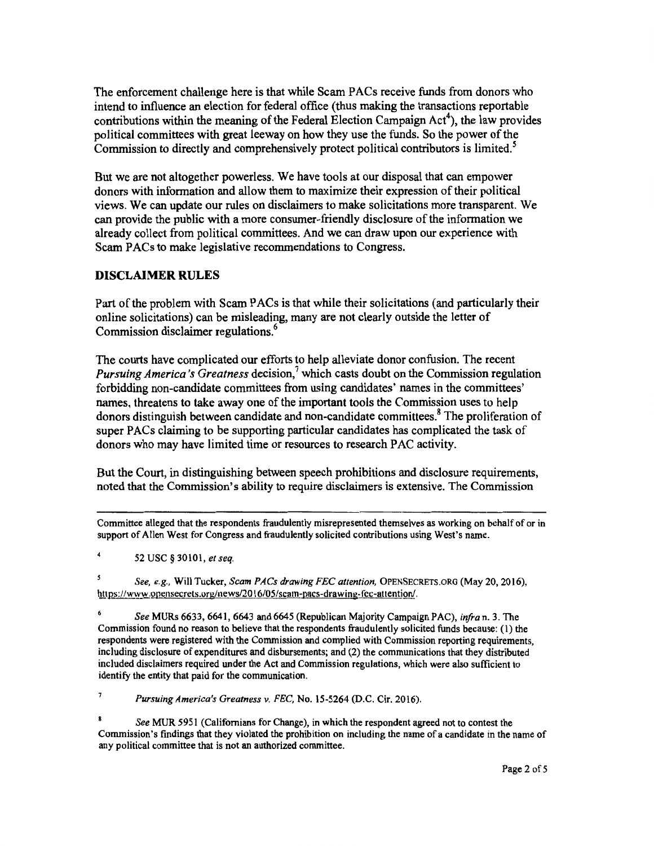The enforcement challenge here is that while Scam PACs receive funds from donors who intend to influence an election for federal office (thus making the transactions reportable contributions within the meaning of the Federal Election Campaign Act<sup>4</sup>), the law provides political committees with great leeway on how they use the funds. So the power of the Commission to directly and comprehensively protect political contributors is limited. *<sup>5</sup>*

But we are not altogether powerless. We have tools at our disposal that can empower donors with information and allow them to maximize their expression of their political views. We can update our rules on disclaimers to make solicitations more transparent. We can provide the public with a more consumer-friendly disclosure of the information we already collect from political committees. And we can draw upon our experience with Scam PACs to make legislative recommendations to Congress.

#### **DISCLAIMER RULES**

Part of the problem with Scam PACs is that while their solicitations (and particularly their online solicitations) can be misleading, many are not clearly outside the letter of Commission disclaimer regulations.<sup>6</sup>

The courts have complicated our efforts to help alleviate donor confusion. The recent *Pursuing America's Greatness decision*,<sup>7</sup> which casts doubt on the Commission regulation forbidding non-candidate committees from using candidates' names in the committees' names, threatens to take away one of the important tools the Commission uses to help donors distinguish between candidate and non-candidate committees.<sup>8</sup> The proliferation of super PACs claiming to be supporting particular candidates has complicated the task of donors who may have limited time or resources to research PAC activity.

But the Court, in distinguishing between speech prohibitions and disclosure requirements, noted that the Commission's ability to require disclaimers is extensive. The Commission

Committee alleged that the respondents fraudulently misrepresented themselves as working on behalf of or in support of Allen West for Congress and fraudulently solicited contributions using West's name.

52 USC§ 30101, *et seq.* 

*See, e.g.,* Will Tucker, *Scam PACs drawing FEC attention,* OPENSECRETS.ORG (May 20, 2016), https://www.opensecrets.org/news/2016/05/scam-pacs-drawing-fcc-attention/.

*See* MURs 6633,6641, 6643 and 6645 (Republican Majority Campaign PAC), *infra* n. 3. The Commission found no reason to believe that the respondents fraudulently solicited funds because: (I) the respondents were registered with the Commission and complied with Commission reporting requirements, including disclosure of expenditures and disbursements; and (2) the communications that they distributed included disclaimers required under the Act and Commission regulations, which were also sufficient to identify the entity that paid for the communication.

7 *Pursuing America's Greatness v. FEC,* No. 15-5264 (D.C. Cir. 2016).

*See* MUR 5951 (Californians for Change), in which the respondent agreed not to contest the Commission's findings that they violated the prohibition on including the name of a candidate in the name of any political committee that is not an authorized committee.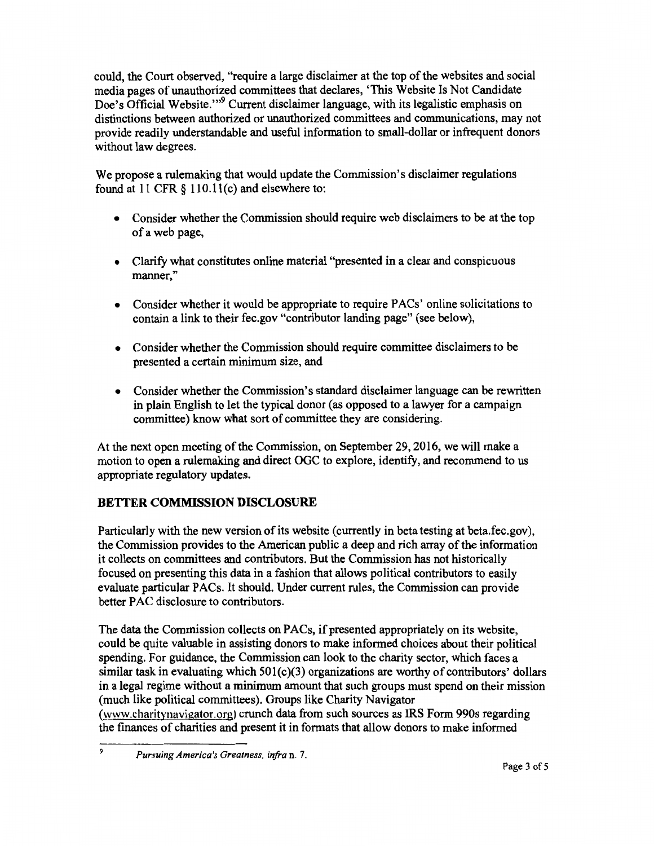could, the Court observed, "require a large disclaimer at the top of the websites and social media pages of unauthorized committees that declares, 'This Website Is Not Candidate Doe's Official Website.'"<sup>9</sup> Current disclaimer language, with its legalistic emphasis on distinctions between authorized or unauthorized committees and communications, may not provide readily understandable and useful information to small-dollar or infrequent donors without law degrees.

We propose a rulemaking that would update the Commission's disclaimer regulations found at 11 CFR § 110.11(c) and elsewhere to:

- Consider whether the Commission should require web disclaimers to be at the top of a web page,
- Clarify what constitutes online material "presented in a clear and conspicuous manner,"
- Consider whether it would be appropriate to require PACs' online solicitations to contain a link to their fec.gov "contributor landing page" (see below),
- Consider whether the Commission should require committee disclaimers to be presented a certain minimum size, and
- Consider whether the Commission's standard disclaimer language can be rewritten in plain English to let the typical donor (as opposed to a lawyer for a campaign committee) know what sort of committee they are considering.

At the next open meeting of the Commission, on September 29,2016, we will make a motion to open a rulemaking and direct OGC to explore, identify, and recommend to us appropriate regulatory updates.

### BETTER COMMISSION DISCLOSURE

Particularly with the new version of its website (currently in beta testing at beta.fec.gov), the Commission provides to the American public a deep and rich array of the information it collects on committees and contributors. But the Commission has not historically focused on presenting this data in a fashion that allows political contributors to easily evaluate particular PACs. It should. Under current rules, the Commission can provide better PAC disclosure to contributors.

The data the Commission collects on PACs, if presented appropriately on its website, could be quite valuable in assisting donors to make informed choices about their political spending. For guidance, the Commission can look to the charity sector, which faces a similar task in evaluating which 501(c)(3) organizations are worthy of contributors' dollars in a legal regime without a minimum amount that such groups must spend on their mission (much like political committees). Groups like Charity Navigator (www.charitynavigator.org) crunch data from such sources as IRS Form 990s regarding the finances of charities and present it in formats that allow donors to make informed

<sup>9</sup> *Pursuing America's Greatness, infra* n. 7.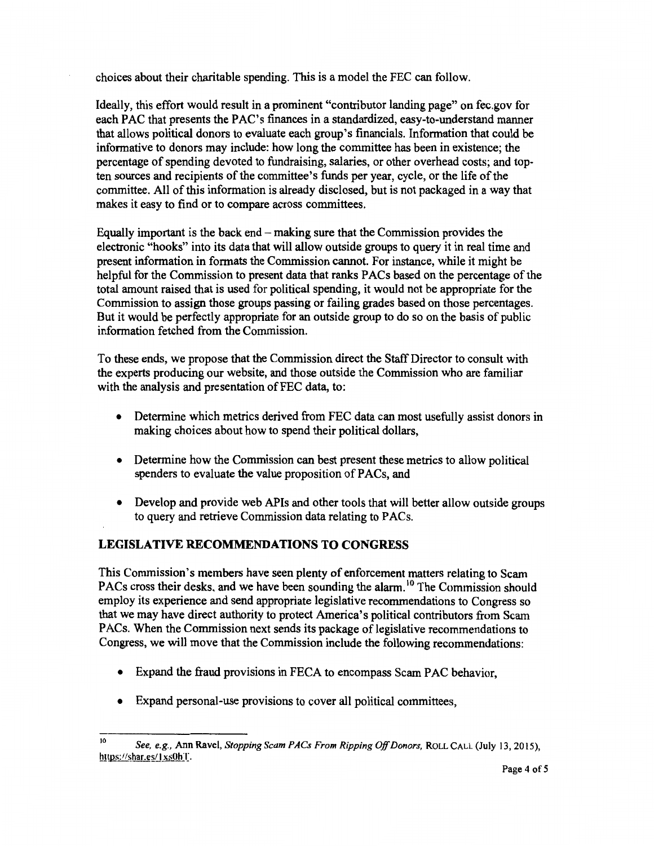choices about their charitable spending. This is a model the FEC can follow.

Ideally, this effort would result in a prominent "contributor landing page" on fec.gov for each PAC that presents the PAC's finances in a standardized, easy-to-understand manner that allows political donors to evaluate each group's financials. Information that could be informative to donors may include: how long the committee has been in existence; the percentage of spending devoted to fundraising, salaries, or other overhead costs; and topten sources and recipients of the committee's funds per year, cycle, or the life of the committee. All of this information is already disclosed, but is not packaged in a way that makes it easy to find or to compare across committees.

Equally important is the back end - making sure that the Commission provides the electronic "hooks" into its data that will allow outside groups to query it in real time and present information in formats the Commission cannot. For instance, while it might be helpful for the Commission to present data that ranks PACs based on the percentage of the total amount raised that is used for political spending, it would not be appropriate for the Commission to assign those groups passing or failing grades based on those percentages. But it would be perfectly appropriate for an outside group to do so on the basis of public information fetched from the Commission.

To these ends, we propose that the Commission direct the Staff Director to consult with the experts producing our website, and those outside the Commission who are familiar with the analysis and presentation of FEC data, to:

- Determine which metrics derived from FEC data can most usefully assist donors in making choices about how to spend their political dollars,
- Determine how the Commission can best present these metrics to allow political spenders to evaluate the value proposition of PACs, and
- Develop and provide web APIs and other tools that will better allow outside groups to query and retrieve Commission data relating to PACs.

#### **LEGISLATIVE RECOMMENDATIONS TO CONGRESS**

This Commission's members have seen plenty of enforcement matters relating to Scam PACs cross their desks, and we have been sounding the alarm.<sup>10</sup> The Commission should employ its experience and send appropriate legislative recommendations to Congress so that we may have direct authority to protect America's political contributors from Scam PACs. When the Commission next sends its package of legislative recommendations to Congress, we will move that the Commission include the following recommendations:

- Expand the fraud provisions in FECA to encompass Scam PAC behavior,
- Expand personal-use provisions to cover all political committees,

<sup>10</sup>*See, e.g.,* Ann Ravel, *Stopping Scam PACs From Ripping Off Donors,* ROLL CALL (July 13, 20 15), https://shar.es/1xs0hT.